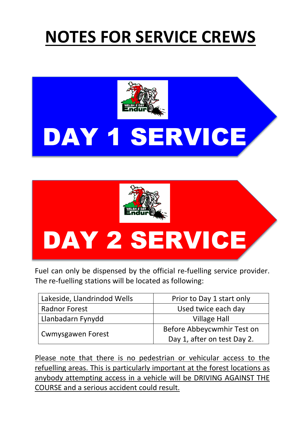## **NOTES FOR SERVICE CREWS**



## DAY 1 SERVICE



Fuel can only be dispensed by the official re-fuelling service provider. The re-fuelling stations will be located as following:

| Lakeside, Llandrindod Wells | Prior to Day 1 start only   |
|-----------------------------|-----------------------------|
| <b>Radnor Forest</b>        | Used twice each day         |
| Llanbadarn Fynydd           | <b>Village Hall</b>         |
| <b>Cwmysgawen Forest</b>    | Before Abbeycwmhir Test on  |
|                             | Day 1, after on test Day 2. |

 Please note that there is no pedestrian or vehicular access to the refuelling areas. This is particularly important at the forest locations as anybody attempting access in a vehicle will be DRIVING AGAINST THE COURSE and a serious accident could result.